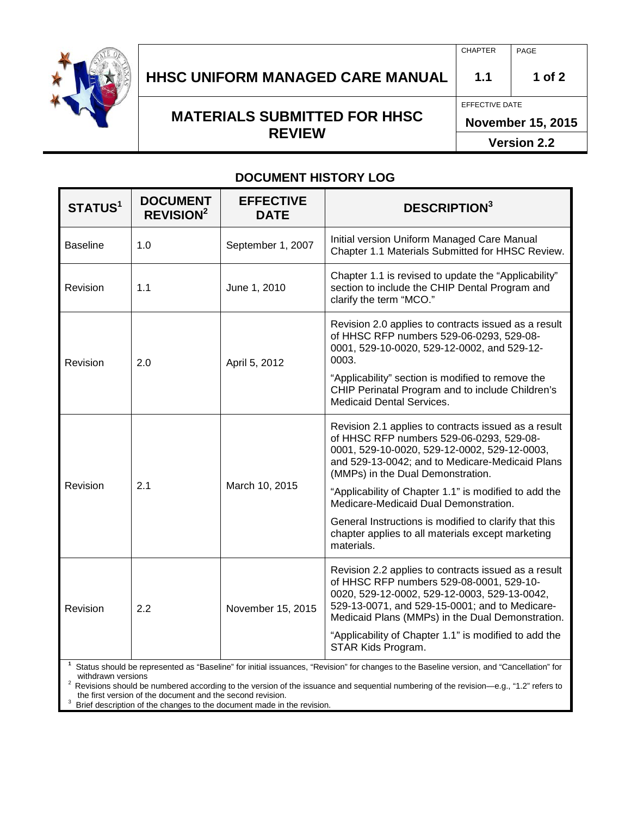

## **HHSC UNIFORM MANAGED CARE MANUAL 1.1 1 of 2**

# **MATERIALS SUBMITTED FOR HHSC REVIEW**

EFFECTIVE DATE

**November 15, 2015**

**Version 2.2**

#### **DOCUMENT HISTORY LOG**

| STATUS <sup>1</sup> | <b>DOCUMENT</b><br><b>REVISION<sup>2</sup></b> | <b>EFFECTIVE</b><br><b>DATE</b> | <b>DESCRIPTION3</b>                                                                                                                                                                                                                                    |  |
|---------------------|------------------------------------------------|---------------------------------|--------------------------------------------------------------------------------------------------------------------------------------------------------------------------------------------------------------------------------------------------------|--|
| <b>Baseline</b>     | 1.0                                            | September 1, 2007               | Initial version Uniform Managed Care Manual<br>Chapter 1.1 Materials Submitted for HHSC Review.                                                                                                                                                        |  |
| Revision            | 1.1                                            | June 1, 2010                    | Chapter 1.1 is revised to update the "Applicability"<br>section to include the CHIP Dental Program and<br>clarify the term "MCO."                                                                                                                      |  |
| Revision            | 2.0                                            | April 5, 2012                   | Revision 2.0 applies to contracts issued as a result<br>of HHSC RFP numbers 529-06-0293, 529-08-<br>0001, 529-10-0020, 529-12-0002, and 529-12-<br>0003.                                                                                               |  |
|                     |                                                |                                 | "Applicability" section is modified to remove the<br>CHIP Perinatal Program and to include Children's<br><b>Medicaid Dental Services.</b>                                                                                                              |  |
| Revision            | 2.1                                            | March 10, 2015                  | Revision 2.1 applies to contracts issued as a result<br>of HHSC RFP numbers 529-06-0293, 529-08-<br>0001, 529-10-0020, 529-12-0002, 529-12-0003,<br>and 529-13-0042; and to Medicare-Medicaid Plans<br>(MMPs) in the Dual Demonstration.               |  |
|                     |                                                |                                 | "Applicability of Chapter 1.1" is modified to add the<br>Medicare-Medicaid Dual Demonstration.                                                                                                                                                         |  |
|                     |                                                |                                 | General Instructions is modified to clarify that this<br>chapter applies to all materials except marketing<br>materials.                                                                                                                               |  |
| Revision            | 2.2                                            | November 15, 2015               | Revision 2.2 applies to contracts issued as a result<br>of HHSC RFP numbers 529-08-0001, 529-10-<br>0020, 529-12-0002, 529-12-0003, 529-13-0042,<br>529-13-0071, and 529-15-0001; and to Medicare-<br>Medicaid Plans (MMPs) in the Dual Demonstration. |  |
|                     |                                                |                                 | "Applicability of Chapter 1.1" is modified to add the<br>STAR Kids Program.<br><sup>1</sup> Status aboutd be represented as "Pescline" for initial isouspeas. "Povision" for abanges to the Pescline version, and "Cancellation" for                   |  |

Status should be represented as "Baseline" for initial issuances, "Revision" for changes to the Baseline version, and "Cancellation" for

Revisions should be numbered according to the version of the issuance and sequential numbering of the revision—e.g., "1.2" refers to the first version of the document and the second revision.

Brief description of the changes to the document made in the revision.